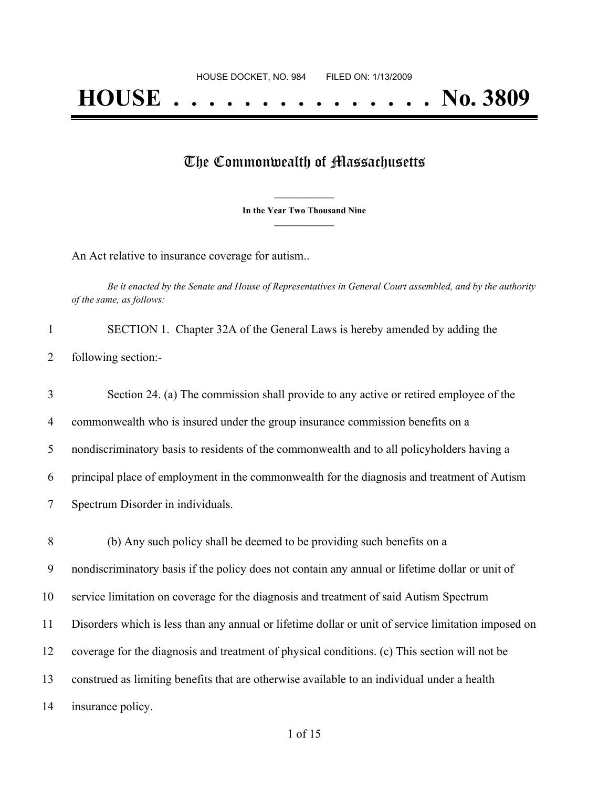## The Commonwealth of Massachusetts

**\_\_\_\_\_\_\_\_\_\_\_\_\_\_\_ In the Year Two Thousand Nine \_\_\_\_\_\_\_\_\_\_\_\_\_\_\_**

An Act relative to insurance coverage for autism..

Be it enacted by the Senate and House of Representatives in General Court assembled, and by the authority *of the same, as follows:*

|                     | SECTION 1. Chapter 32A of the General Laws is hereby amended by adding the |  |  |
|---------------------|----------------------------------------------------------------------------|--|--|
| following section:- |                                                                            |  |  |

 Section 24. (a) The commission shall provide to any active or retired employee of the commonwealth who is insured under the group insurance commission benefits on a nondiscriminatory basis to residents of the commonwealth and to all policyholders having a principal place of employment in the commonwealth for the diagnosis and treatment of Autism Spectrum Disorder in individuals. (b) Any such policy shall be deemed to be providing such benefits on a nondiscriminatory basis if the policy does not contain any annual or lifetime dollar or unit of service limitation on coverage for the diagnosis and treatment of said Autism Spectrum Disorders which is less than any annual or lifetime dollar or unit of service limitation imposed on coverage for the diagnosis and treatment of physical conditions. (c) This section will not be

13 construed as limiting benefits that are otherwise available to an individual under a health

14 insurance policy.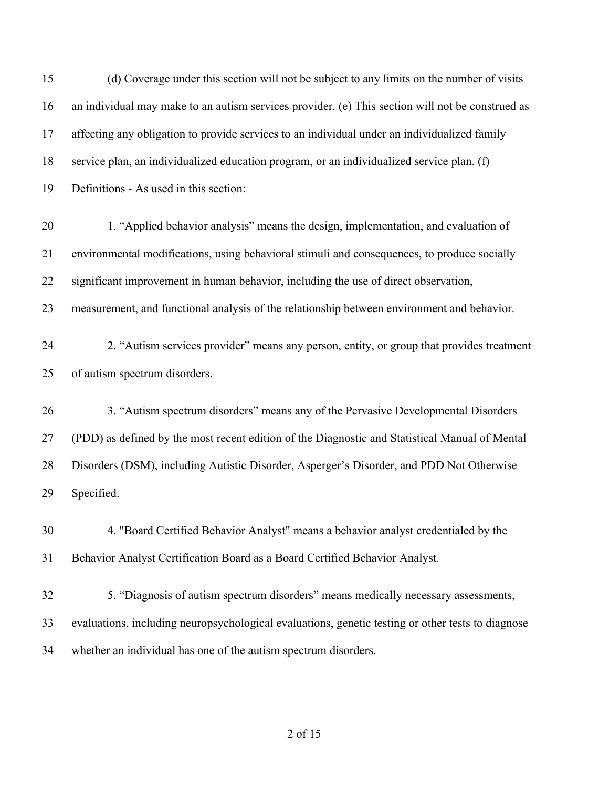| 15 | (d) Coverage under this section will not be subject to any limits on the number of visits         |
|----|---------------------------------------------------------------------------------------------------|
| 16 | an individual may make to an autism services provider. (e) This section will not be construed as  |
| 17 | affecting any obligation to provide services to an individual under an individualized family      |
| 18 | service plan, an individualized education program, or an individualized service plan. (f)         |
| 19 | Definitions - As used in this section:                                                            |
| 20 | 1. "Applied behavior analysis" means the design, implementation, and evaluation of                |
| 21 | environmental modifications, using behavioral stimuli and consequences, to produce socially       |
| 22 | significant improvement in human behavior, including the use of direct observation,               |
| 23 | measurement, and functional analysis of the relationship between environment and behavior.        |
| 24 | 2. "Autism services provider" means any person, entity, or group that provides treatment          |
| 25 | of autism spectrum disorders.                                                                     |
| 26 | 3. "Autism spectrum disorders" means any of the Pervasive Developmental Disorders                 |
| 27 | (PDD) as defined by the most recent edition of the Diagnostic and Statistical Manual of Mental    |
| 28 | Disorders (DSM), including Autistic Disorder, Asperger's Disorder, and PDD Not Otherwise          |
| 29 | Specified.                                                                                        |
| 30 | 4. "Board Certified Behavior Analyst" means a behavior analyst credentialed by the                |
| 31 | Behavior Analyst Certification Board as a Board Certified Behavior Analyst.                       |
| 32 | 5. "Diagnosis of autism spectrum disorders" means medically necessary assessments,                |
| 33 | evaluations, including neuropsychological evaluations, genetic testing or other tests to diagnose |
| 34 | whether an individual has one of the autism spectrum disorders.                                   |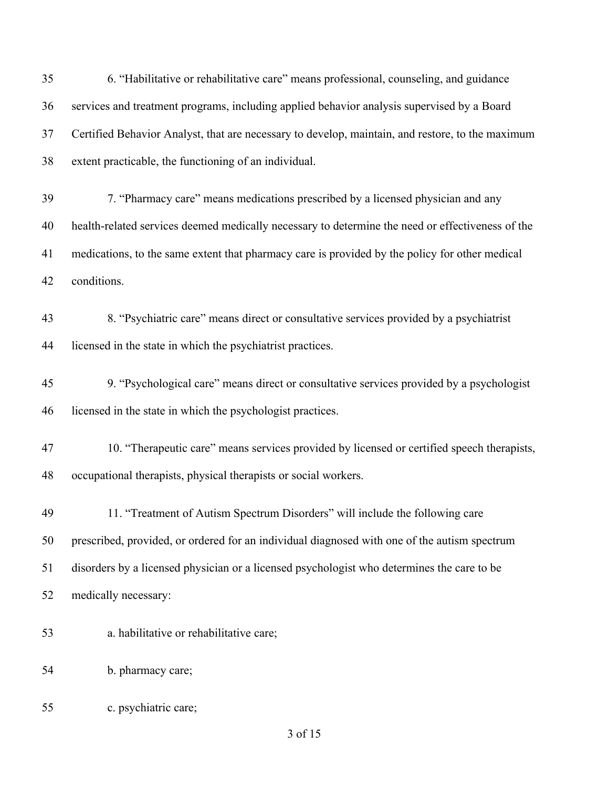of 15 6. "Habilitative or rehabilitative care" means professional, counseling, and guidance services and treatment programs, including applied behavior analysis supervised by a Board Certified Behavior Analyst, that are necessary to develop, maintain, and restore, to the maximum extent practicable, the functioning of an individual. 7. "Pharmacy care" means medications prescribed by a licensed physician and any health-related services deemed medically necessary to determine the need or effectiveness of the medications, to the same extent that pharmacy care is provided by the policy for other medical conditions. 8. "Psychiatric care" means direct or consultative services provided by a psychiatrist licensed in the state in which the psychiatrist practices. 9. "Psychological care" means direct or consultative services provided by a psychologist licensed in the state in which the psychologist practices. 10. "Therapeutic care" means services provided by licensed or certified speech therapists, occupational therapists, physical therapists or social workers. 11. "Treatment of Autism Spectrum Disorders" will include the following care prescribed, provided, or ordered for an individual diagnosed with one of the autism spectrum disorders by a licensed physician or a licensed psychologist who determines the care to be medically necessary: a. habilitative or rehabilitative care; b. pharmacy care; c. psychiatric care;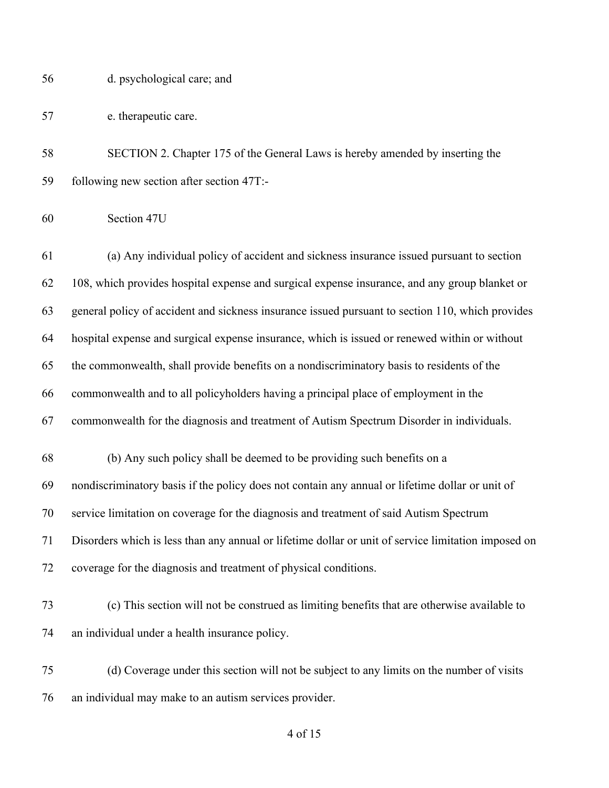| 56 | d. psychological care; and |  |
|----|----------------------------|--|
|    |                            |  |

e. therapeutic care.

 SECTION 2. Chapter 175 of the General Laws is hereby amended by inserting the following new section after section 47T:-

 (a) Any individual policy of accident and sickness insurance issued pursuant to section 108, which provides hospital expense and surgical expense insurance, and any group blanket or general policy of accident and sickness insurance issued pursuant to section 110, which provides hospital expense and surgical expense insurance, which is issued or renewed within or without the commonwealth, shall provide benefits on a nondiscriminatory basis to residents of the commonwealth and to all policyholders having a principal place of employment in the commonwealth for the diagnosis and treatment of Autism Spectrum Disorder in individuals. (b) Any such policy shall be deemed to be providing such benefits on a nondiscriminatory basis if the policy does not contain any annual or lifetime dollar or unit of service limitation on coverage for the diagnosis and treatment of said Autism Spectrum Disorders which is less than any annual or lifetime dollar or unit of service limitation imposed on coverage for the diagnosis and treatment of physical conditions. (c) This section will not be construed as limiting benefits that are otherwise available to

- an individual under a health insurance policy.
- (d) Coverage under this section will not be subject to any limits on the number of visits an individual may make to an autism services provider.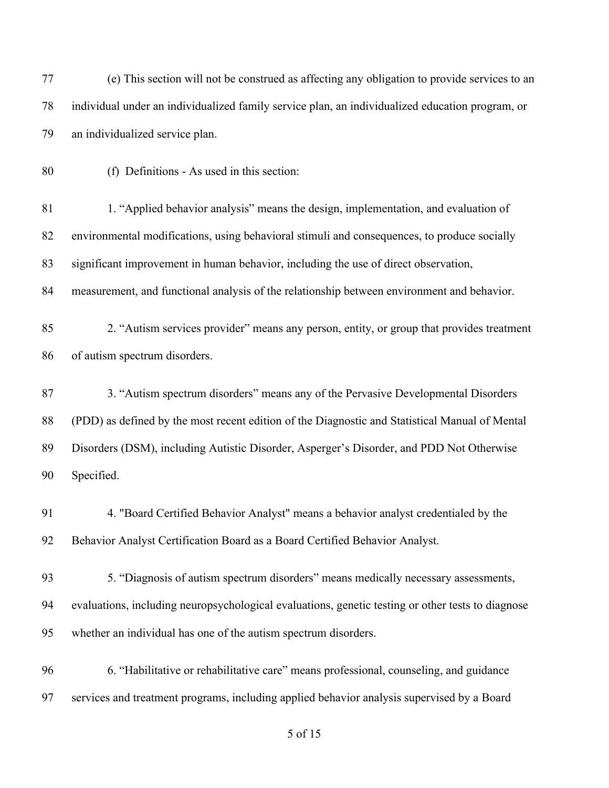| 77 | (e) This section will not be construed as affecting any obligation to provide services to an      |
|----|---------------------------------------------------------------------------------------------------|
| 78 | individual under an individualized family service plan, an individualized education program, or   |
| 79 | an individualized service plan.                                                                   |
| 80 | (f) Definitions - As used in this section:                                                        |
| 81 | 1. "Applied behavior analysis" means the design, implementation, and evaluation of                |
| 82 | environmental modifications, using behavioral stimuli and consequences, to produce socially       |
| 83 | significant improvement in human behavior, including the use of direct observation,               |
| 84 | measurement, and functional analysis of the relationship between environment and behavior.        |
| 85 | 2. "Autism services provider" means any person, entity, or group that provides treatment          |
| 86 | of autism spectrum disorders.                                                                     |
| 87 | 3. "Autism spectrum disorders" means any of the Pervasive Developmental Disorders                 |
| 88 | (PDD) as defined by the most recent edition of the Diagnostic and Statistical Manual of Mental    |
| 89 | Disorders (DSM), including Autistic Disorder, Asperger's Disorder, and PDD Not Otherwise          |
| 90 | Specified.                                                                                        |
| 91 | 4. "Board Certified Behavior Analyst" means a behavior analyst credentialed by the                |
| 92 | Behavior Analyst Certification Board as a Board Certified Behavior Analyst.                       |
| 93 | 5. "Diagnosis of autism spectrum disorders" means medically necessary assessments,                |
| 94 | evaluations, including neuropsychological evaluations, genetic testing or other tests to diagnose |
| 95 | whether an individual has one of the autism spectrum disorders.                                   |
| 96 | 6. "Habilitative or rehabilitative care" means professional, counseling, and guidance             |
| 97 | services and treatment programs, including applied behavior analysis supervised by a Board        |
|    |                                                                                                   |

of 15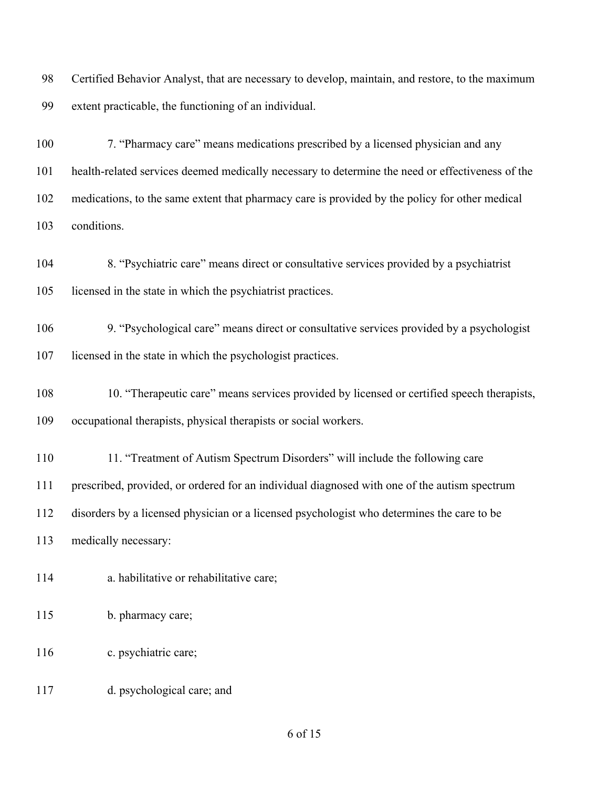Certified Behavior Analyst, that are necessary to develop, maintain, and restore, to the maximum extent practicable, the functioning of an individual.

 7. "Pharmacy care" means medications prescribed by a licensed physician and any health-related services deemed medically necessary to determine the need or effectiveness of the medications, to the same extent that pharmacy care is provided by the policy for other medical conditions.

 8. "Psychiatric care" means direct or consultative services provided by a psychiatrist licensed in the state in which the psychiatrist practices.

 9. "Psychological care" means direct or consultative services provided by a psychologist licensed in the state in which the psychologist practices.

 10. "Therapeutic care" means services provided by licensed or certified speech therapists, occupational therapists, physical therapists or social workers.

11. "Treatment of Autism Spectrum Disorders" will include the following care

prescribed, provided, or ordered for an individual diagnosed with one of the autism spectrum

disorders by a licensed physician or a licensed psychologist who determines the care to be

medically necessary:

- a. habilitative or rehabilitative care;
- b. pharmacy care;
- 116 c. psychiatric care;
- d. psychological care; and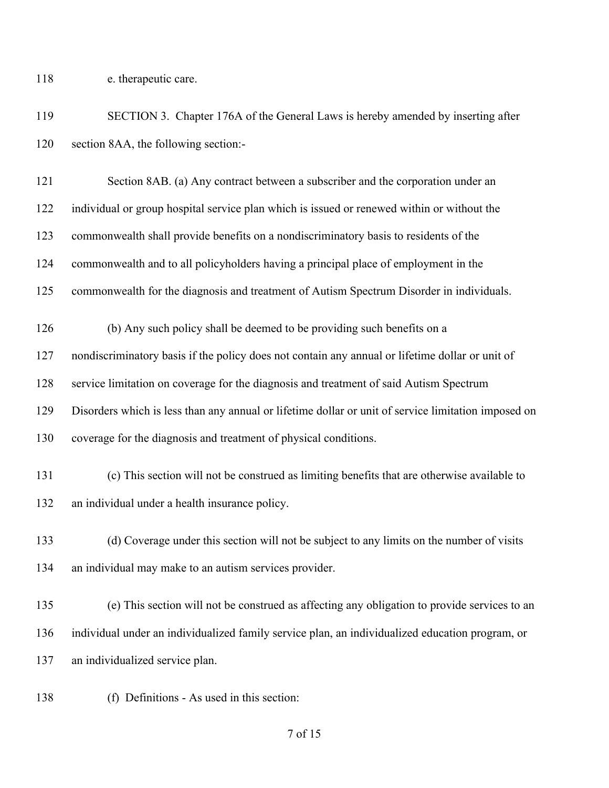118 e. therapeutic care.

 SECTION 3. Chapter 176A of the General Laws is hereby amended by inserting after section 8AA, the following section:-

 Section 8AB. (a) Any contract between a subscriber and the corporation under an individual or group hospital service plan which is issued or renewed within or without the commonwealth shall provide benefits on a nondiscriminatory basis to residents of the commonwealth and to all policyholders having a principal place of employment in the

commonwealth for the diagnosis and treatment of Autism Spectrum Disorder in individuals.

 (b) Any such policy shall be deemed to be providing such benefits on a nondiscriminatory basis if the policy does not contain any annual or lifetime dollar or unit of service limitation on coverage for the diagnosis and treatment of said Autism Spectrum Disorders which is less than any annual or lifetime dollar or unit of service limitation imposed on

- coverage for the diagnosis and treatment of physical conditions.
- (c) This section will not be construed as limiting benefits that are otherwise available to an individual under a health insurance policy.

 (d) Coverage under this section will not be subject to any limits on the number of visits an individual may make to an autism services provider.

 (e) This section will not be construed as affecting any obligation to provide services to an individual under an individualized family service plan, an individualized education program, or an individualized service plan.

(f) Definitions - As used in this section: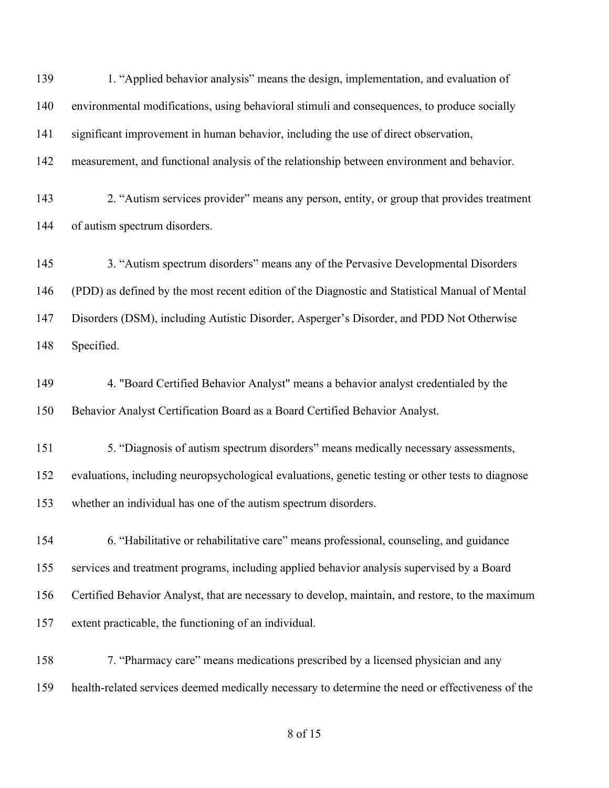1. "Applied behavior analysis" means the design, implementation, and evaluation of environmental modifications, using behavioral stimuli and consequences, to produce socially significant improvement in human behavior, including the use of direct observation, measurement, and functional analysis of the relationship between environment and behavior. 2. "Autism services provider" means any person, entity, or group that provides treatment of autism spectrum disorders. 3. "Autism spectrum disorders" means any of the Pervasive Developmental Disorders (PDD) as defined by the most recent edition of the Diagnostic and Statistical Manual of Mental Disorders (DSM), including Autistic Disorder, Asperger's Disorder, and PDD Not Otherwise Specified. 4. "Board Certified Behavior Analyst" means a behavior analyst credentialed by the Behavior Analyst Certification Board as a Board Certified Behavior Analyst. 5. "Diagnosis of autism spectrum disorders" means medically necessary assessments, evaluations, including neuropsychological evaluations, genetic testing or other tests to diagnose whether an individual has one of the autism spectrum disorders. 6. "Habilitative or rehabilitative care" means professional, counseling, and guidance services and treatment programs, including applied behavior analysis supervised by a Board Certified Behavior Analyst, that are necessary to develop, maintain, and restore, to the maximum extent practicable, the functioning of an individual. 7. "Pharmacy care" means medications prescribed by a licensed physician and any health-related services deemed medically necessary to determine the need or effectiveness of the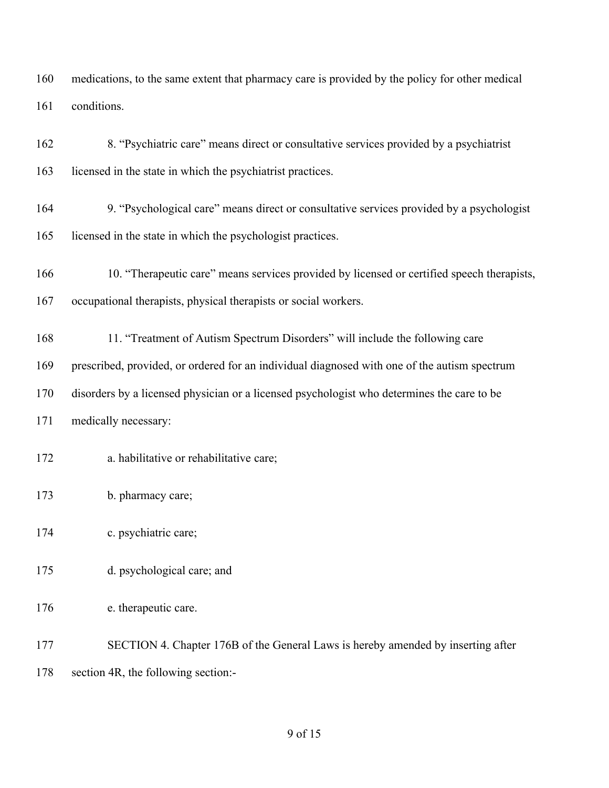medications, to the same extent that pharmacy care is provided by the policy for other medical conditions.

| 162 | 8. "Psychiatric care" means direct or consultative services provided by a psychiatrist       |
|-----|----------------------------------------------------------------------------------------------|
| 163 | licensed in the state in which the psychiatrist practices.                                   |
| 164 | 9. "Psychological care" means direct or consultative services provided by a psychologist     |
| 165 | licensed in the state in which the psychologist practices.                                   |
| 166 | 10. "Therapeutic care" means services provided by licensed or certified speech therapists,   |
| 167 | occupational therapists, physical therapists or social workers.                              |
| 168 | 11. "Treatment of Autism Spectrum Disorders" will include the following care                 |
| 169 | prescribed, provided, or ordered for an individual diagnosed with one of the autism spectrum |
| 170 | disorders by a licensed physician or a licensed psychologist who determines the care to be   |
| 171 | medically necessary:                                                                         |
| 172 | a. habilitative or rehabilitative care;                                                      |
| 173 | b. pharmacy care;                                                                            |
| 174 | c. psychiatric care;                                                                         |
| 175 | d. psychological care; and                                                                   |
| 176 | e. therapeutic care.                                                                         |
| 177 | SECTION 4. Chapter 176B of the General Laws is hereby amended by inserting after             |

section 4R, the following section:-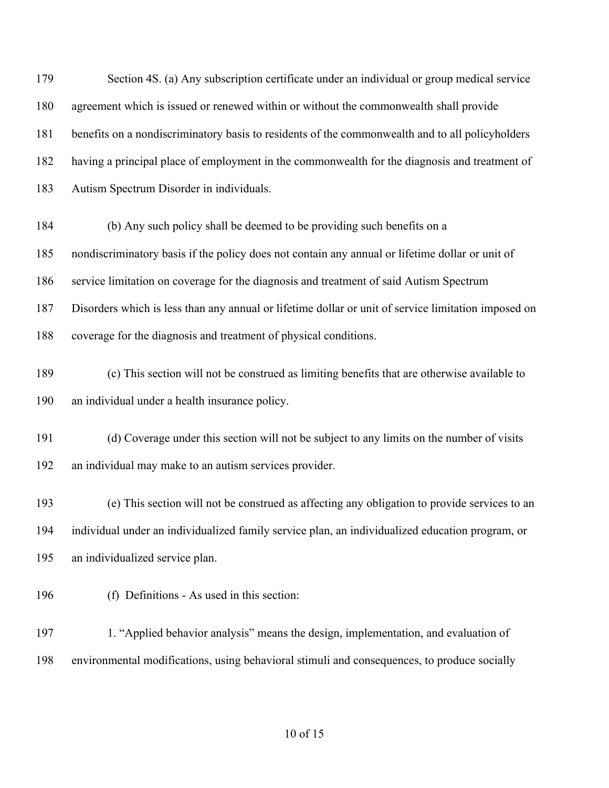Section 4S. (a) Any subscription certificate under an individual or group medical service agreement which is issued or renewed within or without the commonwealth shall provide benefits on a nondiscriminatory basis to residents of the commonwealth and to all policyholders having a principal place of employment in the commonwealth for the diagnosis and treatment of Autism Spectrum Disorder in individuals. (b) Any such policy shall be deemed to be providing such benefits on a nondiscriminatory basis if the policy does not contain any annual or lifetime dollar or unit of service limitation on coverage for the diagnosis and treatment of said Autism Spectrum Disorders which is less than any annual or lifetime dollar or unit of service limitation imposed on coverage for the diagnosis and treatment of physical conditions. (c) This section will not be construed as limiting benefits that are otherwise available to an individual under a health insurance policy. (d) Coverage under this section will not be subject to any limits on the number of visits an individual may make to an autism services provider. (e) This section will not be construed as affecting any obligation to provide services to an individual under an individualized family service plan, an individualized education program, or an individualized service plan.

(f) Definitions - As used in this section:

 1. "Applied behavior analysis" means the design, implementation, and evaluation of environmental modifications, using behavioral stimuli and consequences, to produce socially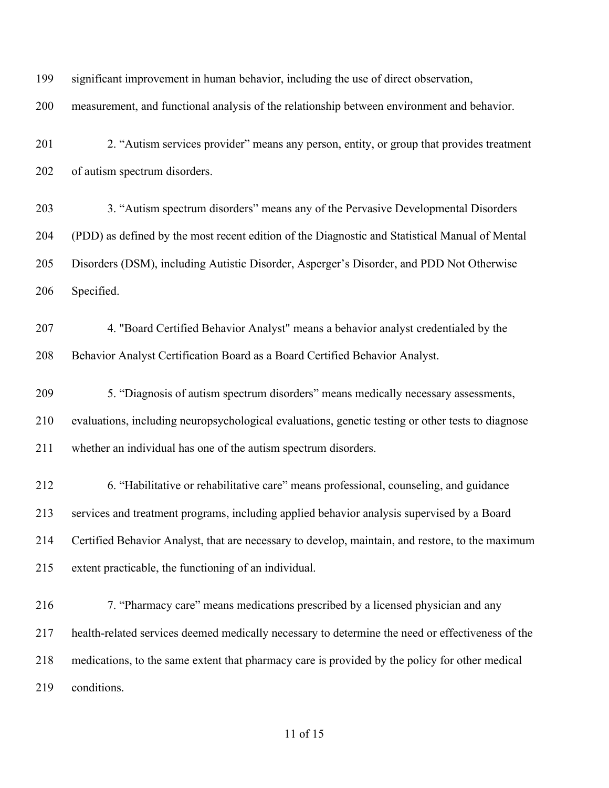significant improvement in human behavior, including the use of direct observation, measurement, and functional analysis of the relationship between environment and behavior. 2. "Autism services provider" means any person, entity, or group that provides treatment of autism spectrum disorders. 3. "Autism spectrum disorders" means any of the Pervasive Developmental Disorders (PDD) as defined by the most recent edition of the Diagnostic and Statistical Manual of Mental Disorders (DSM), including Autistic Disorder, Asperger's Disorder, and PDD Not Otherwise Specified. 4. "Board Certified Behavior Analyst" means a behavior analyst credentialed by the Behavior Analyst Certification Board as a Board Certified Behavior Analyst. 5. "Diagnosis of autism spectrum disorders" means medically necessary assessments, evaluations, including neuropsychological evaluations, genetic testing or other tests to diagnose whether an individual has one of the autism spectrum disorders. 6. "Habilitative or rehabilitative care" means professional, counseling, and guidance services and treatment programs, including applied behavior analysis supervised by a Board Certified Behavior Analyst, that are necessary to develop, maintain, and restore, to the maximum extent practicable, the functioning of an individual. 7. "Pharmacy care" means medications prescribed by a licensed physician and any health-related services deemed medically necessary to determine the need or effectiveness of the medications, to the same extent that pharmacy care is provided by the policy for other medical conditions.

## of 15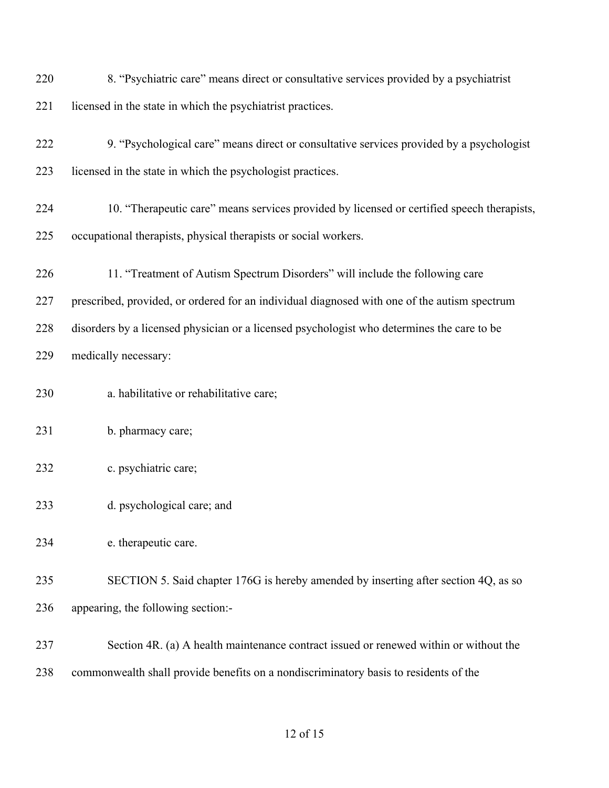| 220 | 8. "Psychiatric care" means direct or consultative services provided by a psychiatrist       |
|-----|----------------------------------------------------------------------------------------------|
| 221 | licensed in the state in which the psychiatrist practices.                                   |
| 222 | 9. "Psychological care" means direct or consultative services provided by a psychologist     |
| 223 | licensed in the state in which the psychologist practices.                                   |
| 224 | 10. "Therapeutic care" means services provided by licensed or certified speech therapists,   |
| 225 | occupational therapists, physical therapists or social workers.                              |
| 226 | 11. "Treatment of Autism Spectrum Disorders" will include the following care                 |
| 227 | prescribed, provided, or ordered for an individual diagnosed with one of the autism spectrum |
| 228 | disorders by a licensed physician or a licensed psychologist who determines the care to be   |
| 229 | medically necessary:                                                                         |
| 230 | a. habilitative or rehabilitative care;                                                      |
| 231 | b. pharmacy care;                                                                            |
| 232 | c. psychiatric care;                                                                         |
| 233 | d. psychological care; and                                                                   |
| 234 | e. therapeutic care.                                                                         |
| 235 | SECTION 5. Said chapter 176G is hereby amended by inserting after section 4Q, as so          |
| 236 | appearing, the following section:-                                                           |
| 237 | Section 4R. (a) A health maintenance contract issued or renewed within or without the        |
| 238 | commonwealth shall provide benefits on a nondiscriminatory basis to residents of the         |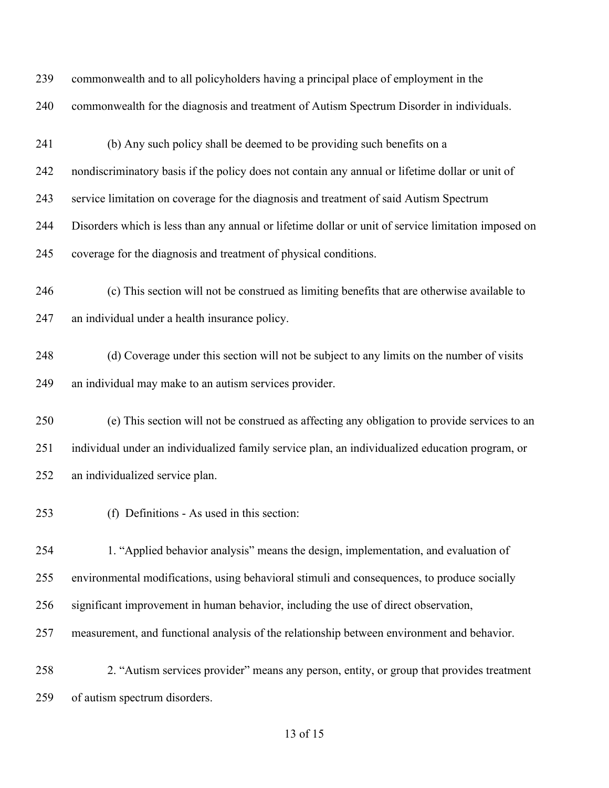commonwealth and to all policyholders having a principal place of employment in the commonwealth for the diagnosis and treatment of Autism Spectrum Disorder in individuals. (b) Any such policy shall be deemed to be providing such benefits on a nondiscriminatory basis if the policy does not contain any annual or lifetime dollar or unit of service limitation on coverage for the diagnosis and treatment of said Autism Spectrum Disorders which is less than any annual or lifetime dollar or unit of service limitation imposed on coverage for the diagnosis and treatment of physical conditions. (c) This section will not be construed as limiting benefits that are otherwise available to an individual under a health insurance policy. (d) Coverage under this section will not be subject to any limits on the number of visits an individual may make to an autism services provider. (e) This section will not be construed as affecting any obligation to provide services to an individual under an individualized family service plan, an individualized education program, or an individualized service plan. (f) Definitions - As used in this section: 1. "Applied behavior analysis" means the design, implementation, and evaluation of environmental modifications, using behavioral stimuli and consequences, to produce socially significant improvement in human behavior, including the use of direct observation, measurement, and functional analysis of the relationship between environment and behavior. 2. "Autism services provider" means any person, entity, or group that provides treatment

of autism spectrum disorders.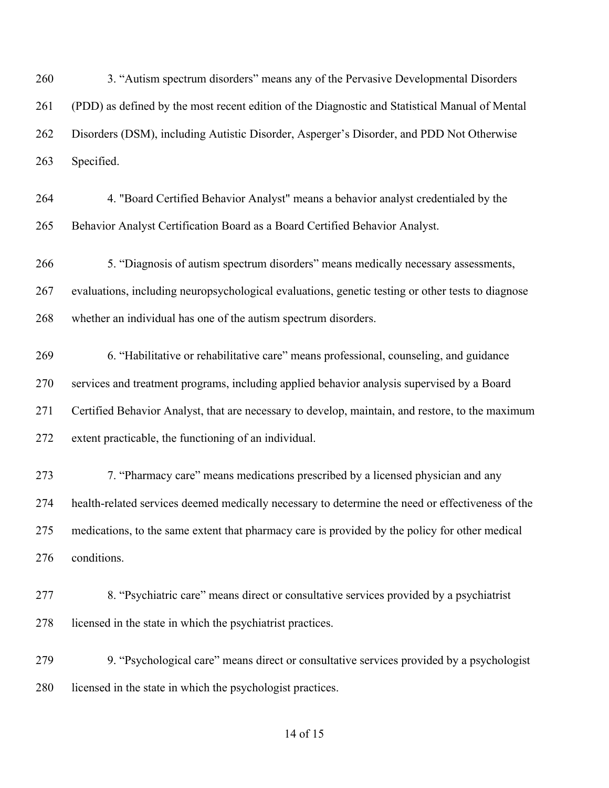3. "Autism spectrum disorders" means any of the Pervasive Developmental Disorders (PDD) as defined by the most recent edition of the Diagnostic and Statistical Manual of Mental Disorders (DSM), including Autistic Disorder, Asperger's Disorder, and PDD Not Otherwise Specified.

- 4. "Board Certified Behavior Analyst" means a behavior analyst credentialed by the Behavior Analyst Certification Board as a Board Certified Behavior Analyst.
- 5. "Diagnosis of autism spectrum disorders" means medically necessary assessments, evaluations, including neuropsychological evaluations, genetic testing or other tests to diagnose whether an individual has one of the autism spectrum disorders.
- 6. "Habilitative or rehabilitative care" means professional, counseling, and guidance services and treatment programs, including applied behavior analysis supervised by a Board Certified Behavior Analyst, that are necessary to develop, maintain, and restore, to the maximum extent practicable, the functioning of an individual.
- 7. "Pharmacy care" means medications prescribed by a licensed physician and any health-related services deemed medically necessary to determine the need or effectiveness of the medications, to the same extent that pharmacy care is provided by the policy for other medical conditions.
- 8. "Psychiatric care" means direct or consultative services provided by a psychiatrist 278 licensed in the state in which the psychiatrist practices.
- 9. "Psychological care" means direct or consultative services provided by a psychologist 280 licensed in the state in which the psychologist practices.